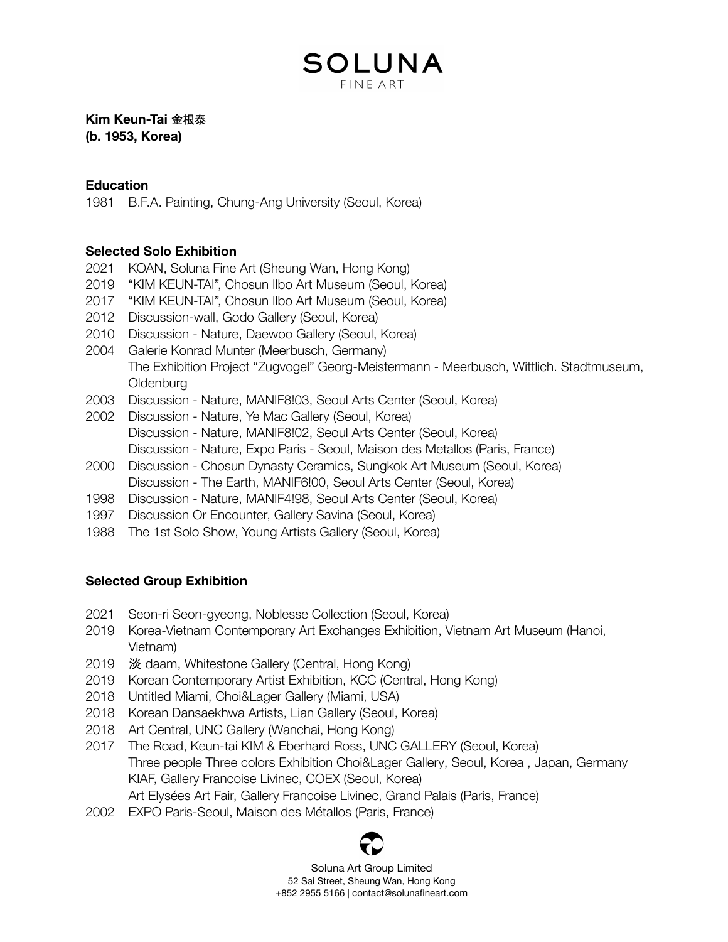## SOLUNA FINF ART

#### **Kim Keun-Tai** 金根泰 **(b. 1953, Korea)**

#### **Education**

1981 B.F.A. Painting, Chung-Ang University (Seoul, Korea)

#### **Selected Solo Exhibition**

- 2021 KOAN, Soluna Fine Art (Sheung Wan, Hong Kong)
- 2019 "KIM KEUN-TAI", Chosun Ilbo Art Museum (Seoul, Korea)
- 2017 "KIM KEUN-TAI", Chosun Ilbo Art Museum (Seoul, Korea)
- 2012 Discussion-wall, Godo Gallery (Seoul, Korea)
- 2010 Discussion Nature, Daewoo Gallery (Seoul, Korea)
- 2004 Galerie Konrad Munter (Meerbusch, Germany) The Exhibition Project "Zugvogel" Georg-Meistermann - Meerbusch, Wittlich. Stadtmuseum, **Oldenburg**
- 2003 Discussion Nature, MANIF8!03, Seoul Arts Center (Seoul, Korea)
- 2002 Discussion Nature, Ye Mac Gallery (Seoul, Korea)
	- Discussion Nature, MANIF8!02, Seoul Arts Center (Seoul, Korea)
	- Discussion Nature, Expo Paris Seoul, Maison des Metallos (Paris, France)
- 2000 Discussion Chosun Dynasty Ceramics, Sungkok Art Museum (Seoul, Korea) Discussion - The Earth, MANIF6!00, Seoul Arts Center (Seoul, Korea)
- 1998 Discussion Nature, MANIF4!98, Seoul Arts Center (Seoul, Korea)
- 1997 Discussion Or Encounter, Gallery Savina (Seoul, Korea)
- 1988 The 1st Solo Show, Young Artists Gallery (Seoul, Korea)

### **Selected Group Exhibition**

- 2021 Seon-ri Seon-gyeong, Noblesse Collection (Seoul, Korea)
- 2019 Korea-Vietnam Contemporary Art Exchanges Exhibition, Vietnam Art Museum (Hanoi, Vietnam)
- 2019 淡 daam, Whitestone Gallery (Central, Hong Kong)
- 2019 Korean Contemporary Artist Exhibition, KCC (Central, Hong Kong)
- 2018 Untitled Miami, Choi&Lager Gallery (Miami, USA)
- 2018 Korean Dansaekhwa Artists, Lian Gallery (Seoul, Korea)
- 2018 Art Central, UNC Gallery (Wanchai, Hong Kong)
- 2017 The Road, Keun-tai KIM & Eberhard Ross, UNC GALLERY (Seoul, Korea) Three people Three colors Exhibition Choi&Lager Gallery, Seoul, Korea , Japan, Germany KIAF, Gallery Francoise Livinec, COEX (Seoul, Korea) Art Elysées Art Fair, Gallery Francoise Livinec, Grand Palais (Paris, France)
- 2002 EXPO Paris-Seoul, Maison des Métallos (Paris, France)



Soluna Art Group Limited 52 Sai Street, Sheung Wan, Hong Kong +852 2955 5166 | contact@solunafineart.com